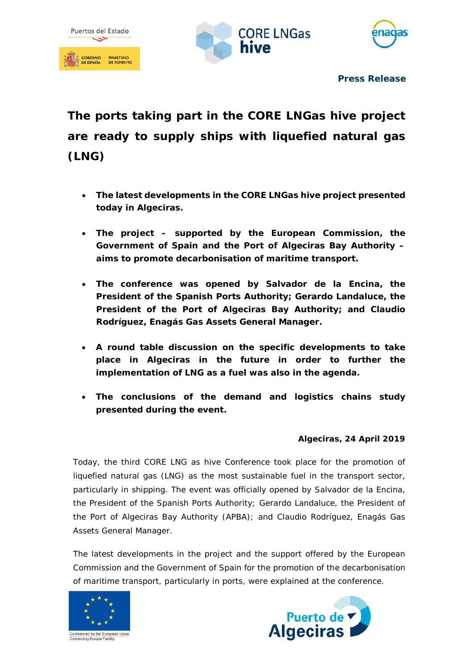





**Press Release**

**The ports taking part in the CORE LNGas hive project are ready to supply ships with liquefied natural gas (LNG)**

- **The latest developments in the CORE LNGas hive project presented today in Algeciras.**
- **The project – supported by the European Commission, the Government of Spain and the Port of Algeciras Bay Authority – aims to promote decarbonisation of maritime transport.**
- **The conference was opened by Salvador de la Encina, the President of the Spanish Ports Authority; Gerardo Landaluce, the President of the Port of Algeciras Bay Authority; and Claudio Rodríguez, Enagás Gas Assets General Manager.**
- **A round table discussion on the specific developments to take place in Algeciras in the future in order to further the implementation of LNG as a fuel was also in the agenda.**
- **The conclusions of the demand and logistics chains study presented during the event.**

## **Algeciras, 24 April 2019**

Today, the third CORE LNG as hive Conference took place for the promotion of liquefied natural gas (LNG) as the most sustainable fuel in the transport sector, particularly in shipping. The event was officially opened by Salvador de la Encina, the President of the Spanish Ports Authority; Gerardo Landaluce, the President of the Port of Algeciras Bay Authority (APBA); and Claudio Rodríguez, Enagás Gas Assets General Manager.

The latest developments in the project and the support offered by the European Commission and the Government of Spain for the promotion of the decarbonisation of maritime transport, particularly in ports, were explained at the conference.



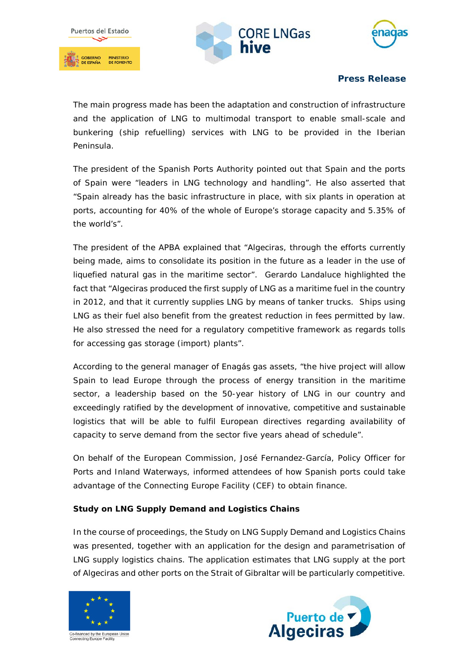





## **Press Release**

The main progress made has been the adaptation and construction of infrastructure and the application of LNG to multimodal transport to enable small-scale and bunkering (ship refuelling) services with LNG to be provided in the Iberian Peninsula.

The president of the Spanish Ports Authority pointed out that Spain and the ports of Spain were "leaders in LNG technology and handling". He also asserted that "Spain already has the basic infrastructure in place, with six plants in operation at ports, accounting for 40% of the whole of Europe's storage capacity and 5.35% of the world's".

The president of the APBA explained that "Algeciras, through the efforts currently being made, aims to consolidate its position in the future as a leader in the use of liquefied natural gas in the maritime sector". Gerardo Landaluce highlighted the fact that "Algeciras produced the first supply of LNG as a maritime fuel in the country in 2012, and that it currently supplies LNG by means of tanker trucks. Ships using LNG as their fuel also benefit from the greatest reduction in fees permitted by law. He also stressed the need for a regulatory competitive framework as regards tolls for accessing gas storage (import) plants".

According to the general manager of Enagás gas assets, "the hive project will allow Spain to lead Europe through the process of energy transition in the maritime sector, a leadership based on the 50-year history of LNG in our country and exceedingly ratified by the development of innovative, competitive and sustainable logistics that will be able to fulfil European directives regarding availability of capacity to serve demand from the sector five years ahead of schedule".

On behalf of the European Commission, José Fernandez-García, Policy Officer for Ports and Inland Waterways, informed attendees of how Spanish ports could take advantage of the Connecting Europe Facility (CEF) to obtain finance.

## **Study on LNG Supply Demand and Logistics Chains**

In the course of proceedings, the Study on LNG Supply Demand and Logistics Chains was presented, together with an application for the design and parametrisation of LNG supply logistics chains. The application estimates that LNG supply at the port of Algeciras and other ports on the Strait of Gibraltar will be particularly competitive.